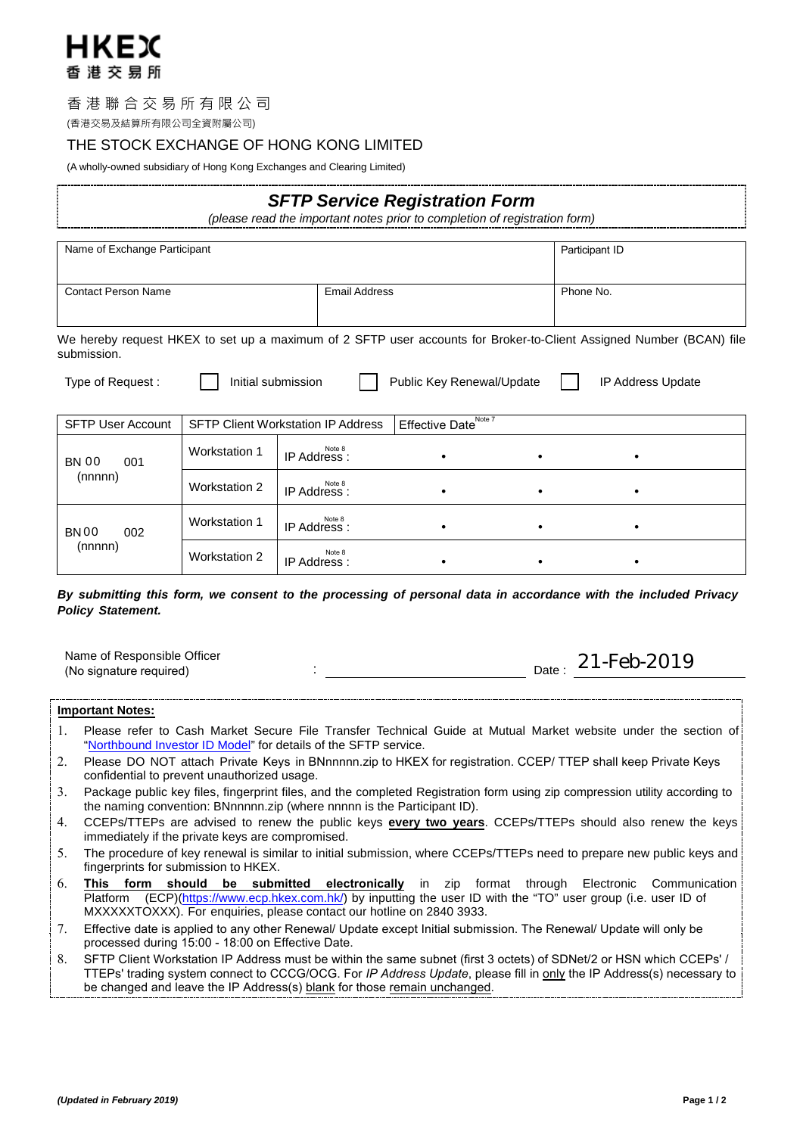

# 香港聯合交易所有限公司

(香港交易及結算所有限公司全資附屬公司)

# THE STOCK EXCHANGE OF HONG KONG LIMITED

(A wholly-owned subsidiary of Hong Kong Exchanges and Clearing Limited)

| <b>SFTP Service Registration Form</b><br>(please read the important notes prior to completion of registration form)                |                                                                               |                        |                           |           |                   |  |
|------------------------------------------------------------------------------------------------------------------------------------|-------------------------------------------------------------------------------|------------------------|---------------------------|-----------|-------------------|--|
| Name of Exchange Participant                                                                                                       |                                                                               |                        |                           |           | Participant ID    |  |
| <b>Contact Person Name</b><br><b>Email Address</b>                                                                                 |                                                                               |                        |                           |           | Phone No.         |  |
| We hereby request HKEX to set up a maximum of 2 SFTP user accounts for Broker-to-Client Assigned Number (BCAN) file<br>submission. |                                                                               |                        |                           |           |                   |  |
| Type of Request:                                                                                                                   | Initial submission                                                            |                        | Public Key Renewal/Update |           | IP Address Update |  |
| <b>SFTP User Account</b>                                                                                                           | Effective Date <sup>Note 7</sup><br><b>SFTP Client Workstation IP Address</b> |                        |                           |           |                   |  |
| <b>BN 00</b><br>001<br>(nnnnn)                                                                                                     | <b>Workstation 1</b>                                                          | Note 8<br>IP Address : |                           |           |                   |  |
|                                                                                                                                    | <b>Workstation 2</b>                                                          | Note 8<br>IP Address : |                           | $\bullet$ |                   |  |
| 002<br><b>BN00</b><br>(nnnnn)                                                                                                      | <b>Workstation 1</b>                                                          | Note 8<br>IP Address : |                           | $\bullet$ |                   |  |
|                                                                                                                                    | <b>Workstation 2</b>                                                          | Note 8<br>IP Address:  |                           |           |                   |  |

# *By submitting this form, we consent to the processing of personal data in accordance with the included Privacy Policy Statement.*

Name of Responsible Officer (No signature required) is a control of the signature  $\mathbf{C}$ :  $_{\text{Date}}$ : 21-Feb-2019

**Important Notes:**

- 1. Please refer to Cash Market Secure File Transfer Technical Guide at Mutual Market website under the section of "Northbound Investor ID Model" for details of the SFTP service.
- 2. [Please DO NOT attach Priva](http://www.hkex.com.hk/Mutual-Market/Stock-Connect/Reference-Materials/Northbound-Investor-ID-Model?sc_lang=en)te Keys in BNnnnnn.zip to HKEX for registration. CCEP/ TTEP shall keep Private Keys confidential to prevent unauthorized usage.
- 3. Package public key files, fingerprint files, and the completed Registration form using zip compression utility according to the naming convention: BNnnnnn.zip (where nnnnn is the Participant ID).
- 4. CCEPs/TTEPs are advised to renew the public keys **every two years**. CCEPs/TTEPs should also renew the keys immediately if the private keys are compromised.
- 5. The procedure of key renewal is similar to initial submission, where CCEPs/TTEPs need to prepare new public keys and fingerprints for submission to HKEX.
- 6. **This form should be submitted electronically** in zip format through Electronic Communication Platform (ECP)(https://www.ecp.hkex.com.hk/) by inputting the user ID with the "TO" user group (i.e. user ID of [MXXXXXTOXXX\).](https://www.ecp.hkex.com.hk/) For enquiries, please contact our hotline on 2840 3933.
- 7. Effective date is applied to any other Renewal/ Update except Initial submission. The Renewal/ Update will only be processed during 15:00 - 18:00 on Effective Date.
- 8. SFTP Client Workstation IP Address must be within the same subnet (first 3 octets) of SDNet/2 or HSN which CCEPs' / TTEPs' trading system connect to CCCG/OCG. For *IP Address Update*, please fill in only the IP Address(s) necessary to be changed and leave the IP Address(s) blank for those remain unchanged.